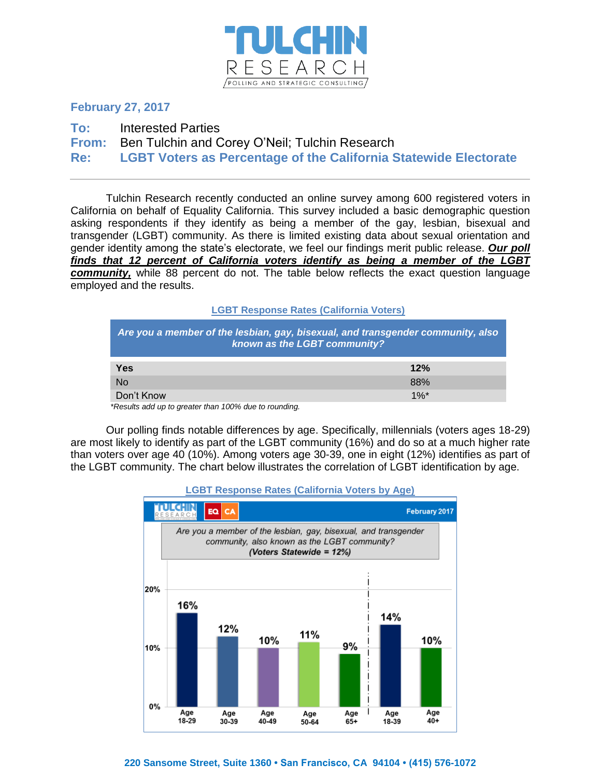

# **February 27, 2017**

**To:** Interested Parties

**From:** Ben Tulchin and Corey O'Neil; Tulchin Research

**Re: LGBT Voters as Percentage of the California Statewide Electorate**

Tulchin Research recently conducted an online survey among 600 registered voters in California on behalf of Equality California. This survey included a basic demographic question asking respondents if they identify as being a member of the gay, lesbian, bisexual and transgender (LGBT) community. As there is limited existing data about sexual orientation and gender identity among the state's electorate, we feel our findings merit public release. *Our poll finds that 12 percent of California voters identify as being a member of the LGBT community,* while 88 percent do not. The table below reflects the exact question language employed and the results.

**LGBT Response Rates (California Voters)**

| Are you a member of the lesbian, gay, bisexual, and transgender community, also<br>known as the LGBT community? |                    |  |  |  |  |  |
|-----------------------------------------------------------------------------------------------------------------|--------------------|--|--|--|--|--|
| <b>Yes</b>                                                                                                      | 12%                |  |  |  |  |  |
| <b>No</b>                                                                                                       | 88%                |  |  |  |  |  |
| Don't Know                                                                                                      | $1\%$ <sup>*</sup> |  |  |  |  |  |

 *\*Results add up to greater than 100% due to rounding.*

Our polling finds notable differences by age. Specifically, millennials (voters ages 18-29) are most likely to identify as part of the LGBT community (16%) and do so at a much higher rate than voters over age 40 (10%). Among voters age 30-39, one in eight (12%) identifies as part of the LGBT community. The chart below illustrates the correlation of LGBT identification by age.



## **LGBT Response Rates (California Voters by Age)**

## **220 Sansome Street, Suite 1360 • San Francisco, CA 94104 • (415) 576-1072**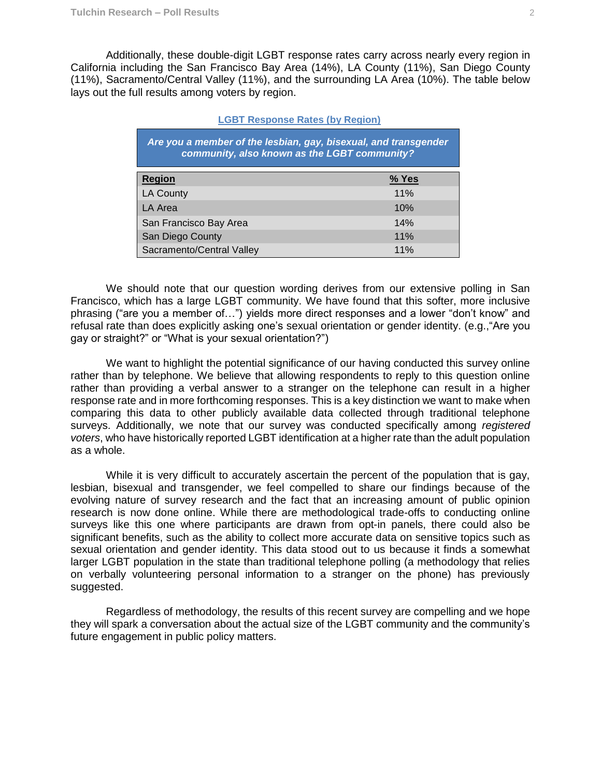Additionally, these double-digit LGBT response rates carry across nearly every region in California including the San Francisco Bay Area (14%), LA County (11%), San Diego County (11%), Sacramento/Central Valley (11%), and the surrounding LA Area (10%). The table below lays out the full results among voters by region.

| Are you a member of the lesbian, gay, bisexual, and transgender<br>community, also known as the LGBT community? |       |  |  |  |  |  |  |
|-----------------------------------------------------------------------------------------------------------------|-------|--|--|--|--|--|--|
| <b>Region</b>                                                                                                   | % Yes |  |  |  |  |  |  |
| <b>LA County</b>                                                                                                | 11%   |  |  |  |  |  |  |
| LA Area                                                                                                         | 10%   |  |  |  |  |  |  |
| San Francisco Bay Area                                                                                          | 14%   |  |  |  |  |  |  |
| San Diego County                                                                                                | 11%   |  |  |  |  |  |  |
| Sacramento/Central Valley                                                                                       | 11%   |  |  |  |  |  |  |

#### **LGBT Response Rates (by Region)**

We should note that our question wording derives from our extensive polling in San Francisco, which has a large LGBT community. We have found that this softer, more inclusive phrasing ("are you a member of…") yields more direct responses and a lower "don't know" and refusal rate than does explicitly asking one's sexual orientation or gender identity. (e.g.,"Are you gay or straight?" or "What is your sexual orientation?")

We want to highlight the potential significance of our having conducted this survey online rather than by telephone. We believe that allowing respondents to reply to this question online rather than providing a verbal answer to a stranger on the telephone can result in a higher response rate and in more forthcoming responses. This is a key distinction we want to make when comparing this data to other publicly available data collected through traditional telephone surveys. Additionally, we note that our survey was conducted specifically among *registered voters*, who have historically reported LGBT identification at a higher rate than the adult population as a whole.

While it is very difficult to accurately ascertain the percent of the population that is gay, lesbian, bisexual and transgender, we feel compelled to share our findings because of the evolving nature of survey research and the fact that an increasing amount of public opinion research is now done online. While there are methodological trade-offs to conducting online surveys like this one where participants are drawn from opt-in panels, there could also be significant benefits, such as the ability to collect more accurate data on sensitive topics such as sexual orientation and gender identity. This data stood out to us because it finds a somewhat larger LGBT population in the state than traditional telephone polling (a methodology that relies on verbally volunteering personal information to a stranger on the phone) has previously suggested.

Regardless of methodology, the results of this recent survey are compelling and we hope they will spark a conversation about the actual size of the LGBT community and the community's future engagement in public policy matters.